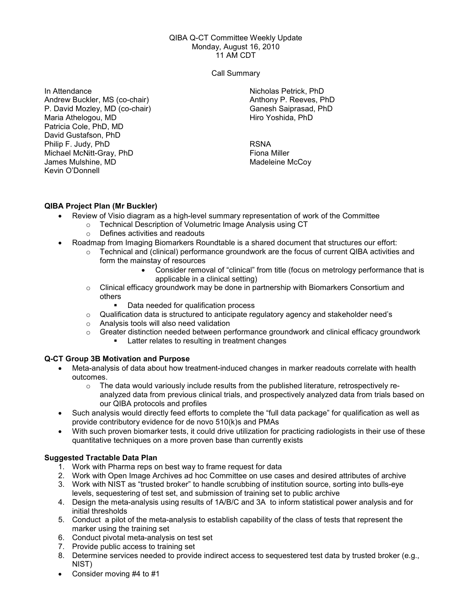#### QIBA Q-CT Committee Weekly Update Monday, August 16, 2010 11 AM CDT

Call Summary

In Attendance Andrew Buckler, MS (co-chair) P. David Mozley, MD (co-chair) Maria Athelogou, MD Patricia Cole, PhD, MD David Gustafson, PhD Philip F. Judy, PhD Michael McNitt-Gray, PhD James Mulshine, MD Kevin O'Donnell

Nicholas Petrick, PhD Anthony P. Reeves, PhD Ganesh Saiprasad, PhD Hiro Yoshida, PhD

RSNA Fiona Miller Madeleine McCoy

# QIBA Project Plan (Mr Buckler)

- Review of Visio diagram as a high-level summary representation of work of the Committee
	- o Technical Description of Volumetric Image Analysis using CT
		- o Defines activities and readouts
- Roadmap from Imaging Biomarkers Roundtable is a shared document that structures our effort:
	- $\circ$  Technical and (clinical) performance groundwork are the focus of current QIBA activities and form the mainstay of resources
		- Consider removal of "clinical" from title (focus on metrology performance that is applicable in a clinical setting)
	- o Clinical efficacy groundwork may be done in partnership with Biomarkers Consortium and others
		- Data needed for qualification process
	- o Qualification data is structured to anticipate regulatory agency and stakeholder need's
	- o Analysis tools will also need validation
	- $\circ$  Greater distinction needed between performance groundwork and clinical efficacy groundwork Latter relates to resulting in treatment changes

## Q-CT Group 3B Motivation and Purpose

- Meta-analysis of data about how treatment-induced changes in marker readouts correlate with health outcomes.
	- $\circ$  The data would variously include results from the published literature, retrospectively reanalyzed data from previous clinical trials, and prospectively analyzed data from trials based on our QIBA protocols and profiles
- Such analysis would directly feed efforts to complete the "full data package" for qualification as well as provide contributory evidence for de novo 510(k)s and PMAs
- With such proven biomarker tests, it could drive utilization for practicing radiologists in their use of these quantitative techniques on a more proven base than currently exists

## Suggested Tractable Data Plan

- 1. Work with Pharma reps on best way to frame request for data
- 2. Work with Open Image Archives ad hoc Committee on use cases and desired attributes of archive
- 3. Work with NIST as "trusted broker" to handle scrubbing of institution source, sorting into bulls-eye levels, sequestering of test set, and submission of training set to public archive
- 4. Design the meta-analysis using results of 1A/B/C and 3A to inform statistical power analysis and for initial thresholds
- 5. Conduct a pilot of the meta-analysis to establish capability of the class of tests that represent the marker using the training set
- 6. Conduct pivotal meta-analysis on test set
- 7. Provide public access to training set
- 8. Determine services needed to provide indirect access to sequestered test data by trusted broker (e.g., NIST)
- Consider moving #4 to #1